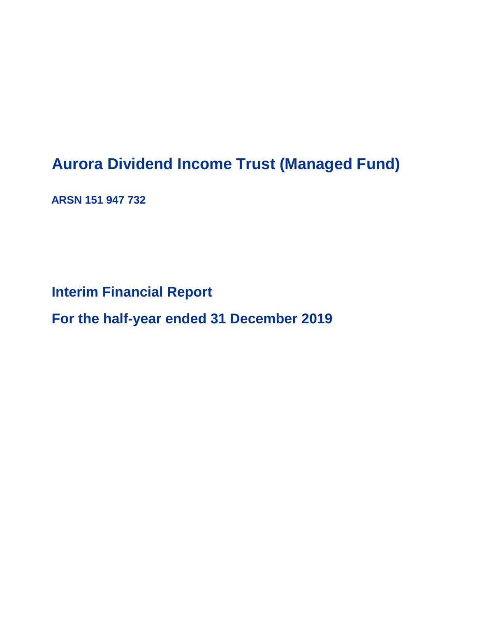# **Aurora Dividend Income Trust (Managed Fund)**

**ARSN 151 947 732**

**Interim Financial Report**

**For the half-year ended 31 December 2019**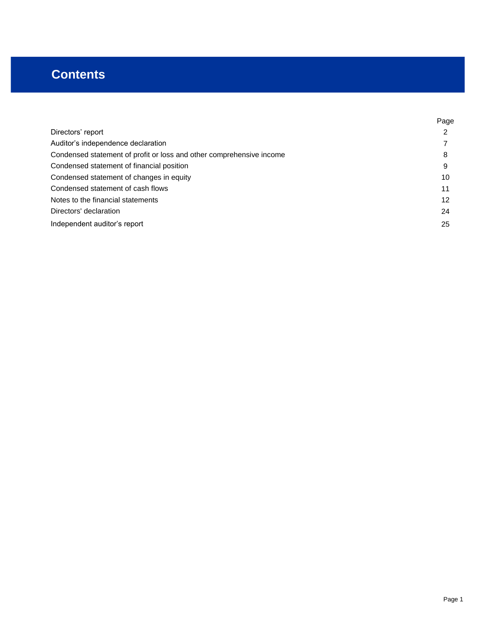# **Contents**

|                                                                      | Page |
|----------------------------------------------------------------------|------|
| Directors' report                                                    | າ    |
| Auditor's independence declaration                                   |      |
| Condensed statement of profit or loss and other comprehensive income | 8    |
| Condensed statement of financial position                            | 9    |
| Condensed statement of changes in equity                             | 10   |
| Condensed statement of cash flows                                    | 11   |
| Notes to the financial statements                                    | 12   |
| Directors' declaration                                               | 24   |
| Independent auditor's report                                         | 25   |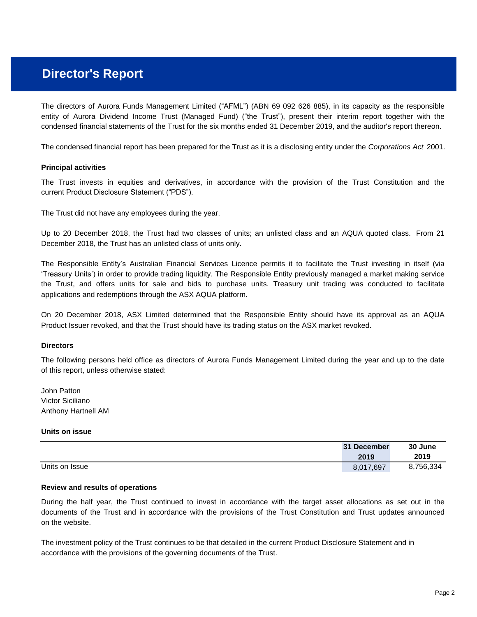condensed financial statements of the Trust for the six months ended 31 December 2019, and the auditor's report thereon. The directors of Aurora Funds Management Limited ("AFML") (ABN 69 092 626 885), in its capacity as the responsible entity of Aurora Dividend Income Trust (Managed Fund) ("the Trust"), present their interim report together with the

The condensed financial report has been prepared for the Trust as it is a disclosing entity under the *Corporations Act* 2001.

#### **Principal activities**

The Trust invests in equities and derivatives, in accordance with the provision of the Trust Constitution and the current Product Disclosure Statement ("PDS").

The Trust did not have any employees during the year.

December 2018, the Trust has an unlisted class of units only. Up to 20 December 2018, the Trust had two classes of units; an unlisted class and an AQUA quoted class. From 21

applications and redemptions through the ASX AQUA platform. The Responsible Entity's Australian Financial Services Licence permits it to facilitate the Trust investing in itself (via 'Treasury Units') in order to provide trading liquidity. The Responsible Entity previously managed a market making service the Trust, and offers units for sale and bids to purchase units. Treasury unit trading was conducted to facilitate

Product Issuer revoked, and that the Trust should have its trading status on the ASX market revoked. On 20 December 2018, ASX Limited determined that the Responsible Entity should have its approval as an AQUA

#### **Directors**

of this report, unless otherwise stated: The following persons held office as directors of Aurora Funds Management Limited during the year and up to the date

John Patton Victor Siciliano Anthony Hartnell AM

#### **Units on issue**

|                | 31 December | 30 June   |
|----------------|-------------|-----------|
|                | 2019        | 2019      |
| Units on Issue | 8,017,697   | 8,756,334 |

#### **Review and results of operations**

During the half year, the Trust continued to invest in accordance with the target asset allocations as set out in the documents of the Trust and in accordance with the provisions of the Trust Constitution and Trust updates announced on the website.

The investment policy of the Trust continues to be that detailed in the current Product Disclosure Statement and in accordance with the provisions of the governing documents of the Trust.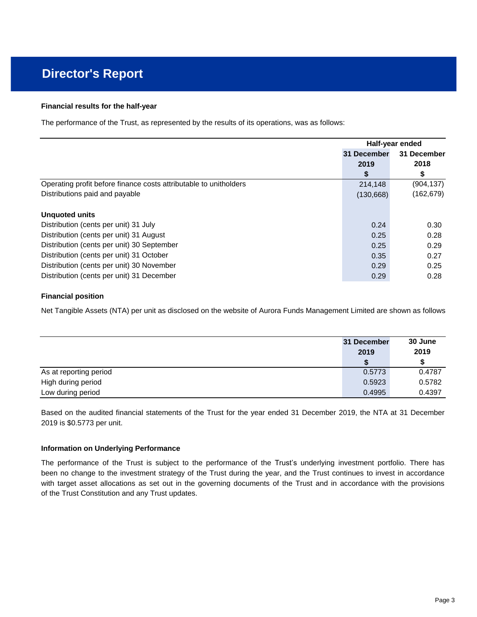#### **Financial results for the half-year**

The performance of the Trust, as represented by the results of its operations, was as follows:

|                                                                   | Half-year ended |             |
|-------------------------------------------------------------------|-----------------|-------------|
|                                                                   | 31 December     | 31 December |
|                                                                   | 2019            | 2018        |
|                                                                   | S               | \$          |
| Operating profit before finance costs attributable to unitholders | 214,148         | (904, 137)  |
| Distributions paid and payable                                    | (130, 668)      | (162, 679)  |
| Unguoted units                                                    |                 |             |
| Distribution (cents per unit) 31 July                             | 0.24            | 0.30        |
| Distribution (cents per unit) 31 August                           | 0.25            | 0.28        |
| Distribution (cents per unit) 30 September                        | 0.25            | 0.29        |
| Distribution (cents per unit) 31 October                          | 0.35            | 0.27        |
| Distribution (cents per unit) 30 November                         | 0.29            | 0.25        |
| Distribution (cents per unit) 31 December                         | 0.29            | 0.28        |

### **Financial position**

Net Tangible Assets (NTA) per unit as disclosed on the website of Aurora Funds Management Limited are shown as follows:

|                        | 31 December<br>2019 | 30 June<br>2019 |
|------------------------|---------------------|-----------------|
|                        |                     |                 |
| As at reporting period | 0.5773              | 0.4787          |
| High during period     | 0.5923              | 0.5782          |
| Low during period      | 0.4995              | 0.4397          |

2019 is \$0.5773 per unit. Based on the audited financial statements of the Trust for the year ended 31 December 2019, the NTA at 31 December

#### **Information on Underlying Performance**

of the Trust Constitution and any Trust updates. The performance of the Trust is subject to the performance of the Trust's underlying investment portfolio. There has been no change to the investment strategy of the Trust during the year, and the Trust continues to invest in accordance with target asset allocations as set out in the governing documents of the Trust and in accordance with the provisions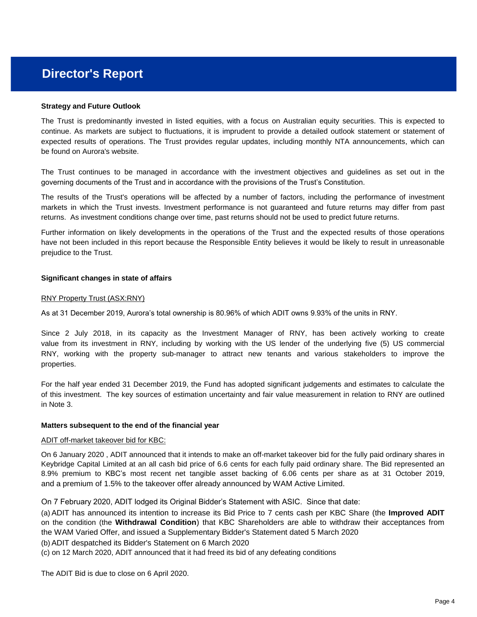#### **Strategy and Future Outlook**

be found on Aurora's website. The Trust is predominantly invested in listed equities, with a focus on Australian equity securities. This is expected to continue. As markets are subject to fluctuations, it is imprudent to provide a detailed outlook statement or statement of expected results of operations. The Trust provides regular updates, including monthly NTA announcements, which can

governing documents of the Trust and in accordance with the provisions of the Trust's Constitution. The Trust continues to be managed in accordance with the investment objectives and guidelines as set out in the

returns. As investment conditions change over time, past returns should not be used to predict future returns. The results of the Trust's operations will be affected by a number of factors, including the performance of investment markets in which the Trust invests. Investment performance is not guaranteed and future returns may differ from past

prejudice to the Trust. Further information on likely developments in the operations of the Trust and the expected results of those operations have not been included in this report because the Responsible Entity believes it would be likely to result in unreasonable

#### **Significant changes in state of affairs**

#### RNY Property Trust (ASX:RNY)

As at 31 December 2019, Aurora's total ownership is 80.96% of which ADIT owns 9.93% of the units in RNY.

properties. Since 2 July 2018, in its capacity as the Investment Manager of RNY, has been actively working to create value from its investment in RNY, including by working with the US lender of the underlying five (5) US commercial RNY, working with the property sub-manager to attract new tenants and various stakeholders to improve the

in Note 3. of this investment. The key sources of estimation uncertainty and fair value measurement in relation to RNY are outlined fair value For the half year ended 31 December 2019, the Fund has adopted significant judgements and estimates to calculate the

#### **Matters subsequent to the end of the financial year**

#### ADIT off-market takeover bid for KBC:

and a premium of 1.5% to the takeover offer already announced by WAM Active Limited. On 6 January 2020 , ADIT announced that it intends to make an off-market takeover bid for the fully paid ordinary shares in Keybridge Capital Limited at an all cash bid price of 6.6 cents for each fully paid ordinary share. The Bid represented an 8.9% premium to KBC's most recent net tangible asset backing of 6.06 cents per share as at 31 October 2019,

On 7 February 2020, ADIT lodged its Original Bidder's Statement with ASIC. Since that date:

the WAM Varied Offer, and issued a Supplementary Bidder's Statement dated 5 March 2020 (a) ADIT has announced its intention to increase its Bid Price to 7 cents cash per KBC Share (the **Improved ADIT** on the condition (the **Withdrawal Condition**) that KBC Shareholders are able to withdraw their acceptances from

(b) ADIT despatched its Bidder's Statement on 6 March 2020

(c) on 12 March 2020, ADIT announced that it had freed its bid of any defeating conditions

The ADIT Bid is due to close on 6 April 2020.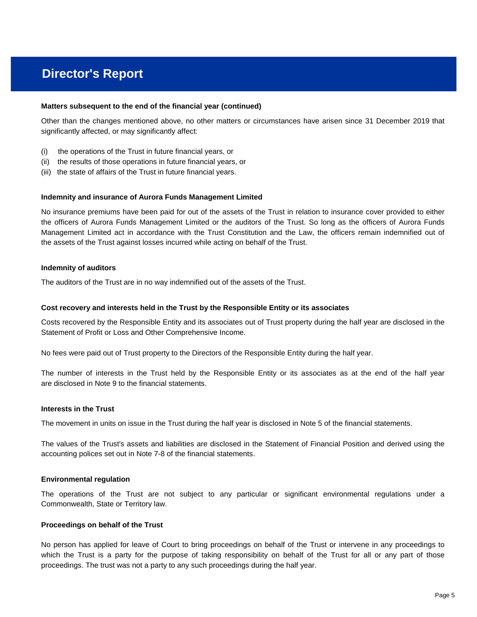#### **Matters subsequent to the end of the financial year (continued)**

significantly affected, or may significantly affect: Other than the changes mentioned above, no other matters or circumstances have arisen since 31 December 2019 that

- (i) the operations of the Trust in future financial years, or
- (ii) the results of those operations in future financial years, or
- (iii) the state of affairs of the Trust in future financial years.

#### **Indemnity and insurance of Aurora Funds Management Limited**

the assets of the Trust against losses incurred while acting on behalf of the Trust. the officers of Aurora Funds Management Limited or the auditors of the Trust. So long as the officers of Aurora Funds Management Limited act in accordance with the Trust Constitution and the Law, the officers remain indemnified out of No insurance premiums have been paid for out of the assets of the Trust in relation to insurance cover provided to either

#### **Indemnity of auditors**

The auditors of the Trust are in no way indemnified out of the assets of the Trust.

#### **Cost recovery and interests held in the Trust by the Responsible Entity or its associates**

Statement of Profit or Loss and Other Comprehensive Income. Costs recovered by the Responsible Entity and its associates out of Trust property during the half year are disclosed in the

No fees were paid out of Trust property to the Directors of the Responsible Entity during the half year.

are disclosed in Note 9 to the financial statements. The number of interests in the Trust held by the Responsible Entity or its associates as at the end of the half year

#### **Interests in the Trust**

The movement in units on issue in the Trust during the half year is disclosed in Note 5 of the financial statements.

accounting polices set out in Note 7-8 of the financial statements. The values of the Trust's assets and liabilities are disclosed in the Statement of Financial Position and derived using the

#### **Environmental regulation**

Commonwealth, State or Territory law. The operations of the Trust are not subject to any particular or significant environmental regulations under a

#### **Proceedings on behalf of the Trust**

proceedings. The trust was not a party to any such proceedings during the half year. which the Trust is a party for the purpose of taking responsibility on behalf of the Trust for all or any part of those No person has applied for leave of Court to bring proceedings on behalf of the Trust or intervene in any proceedings to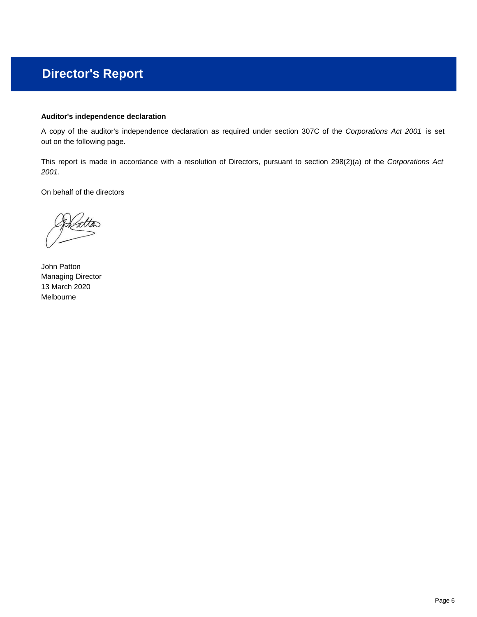### **Auditor's independence declaration**

out on the following page. A copy of the auditor's independence declaration as required under section 307C of the *Corporations Act 2001* is set

*2001.* This report is made in accordance with a resolution of Directors, pursuant to section 298(2)(a) of the *Corporations Act*

On behalf of the directors

John Patton Managing Director 13 March 2020 Melbourne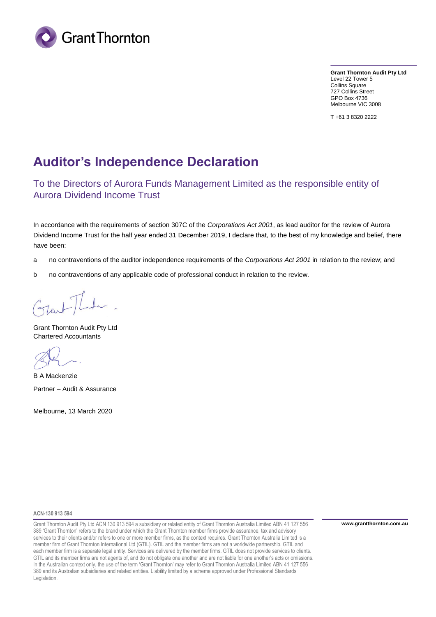

**Grant Thornton Audit Pty Ltd** Level 22 Tower 5 Collins Square 727 Collins Street GPO Box 4736 Melbourne VIC 3008

T +61 3 8320 2222

# **Auditor's Independence Declaration**

To the Directors of Aurora Funds Management Limited as the responsible entity of Aurora Dividend Income Trust

In accordance with the requirements of section 307C of the *Corporations Act 2001*, as lead auditor for the review of Aurora Dividend Income Trust for the half year ended 31 December 2019, I declare that, to the best of my knowledge and belief, there have been:

- a no contraventions of the auditor independence requirements of the *Corporations Act 2001* in relation to the review; and
- b no contraventions of any applicable code of professional conduct in relation to the review.

Grant Thornton Audit Pty Ltd Chartered Accountants

B A Mackenzie Partner – Audit & Assurance

Melbourne, 13 March 2020

#### **ACN-130 913 594**

Grant Thornton Audit Pty Ltd ACN 130 913 594 a subsidiary or related entity of Grant Thornton Australia Limited ABN 41 127 556 389 'Grant Thornton' refers to the brand under which the Grant Thornton member firms provide assurance, tax and advisory services to their clients and/or refers to one or more member firms, as the context requires. Grant Thornton Australia Limited is a member firm of Grant Thornton International Ltd (GTIL). GTIL and the member firms are not a worldwide partnership. GTIL and each member firm is a separate legal entity. Services are delivered by the member firms. GTIL does not provide services to clients. GTIL and its member firms are not agents of, and do not obligate one another and are not liable for one another's acts or omissions. In the Australian context only, the use of the term 'Grant Thornton' may refer to Grant Thornton Australia Limited ABN 41 127 556 389 and its Australian subsidiaries and related entities. Liability limited by a scheme approved under Professional Standards Legislation.

**www.grantthornton.com.au**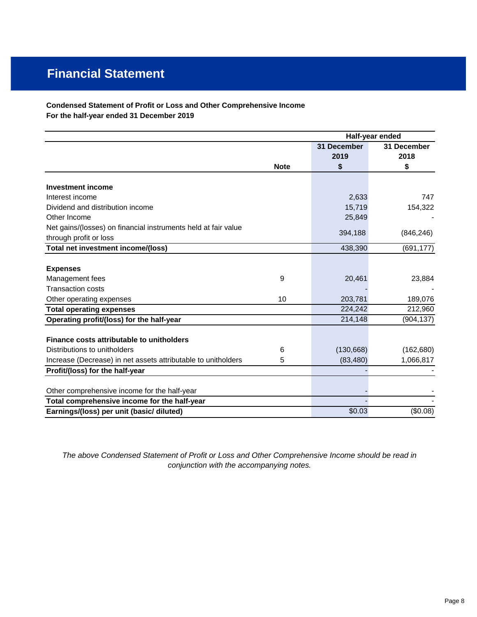# **Financial Statement**

### **Condensed Statement of Profit or Loss and Other Comprehensive Income For the half-year ended 31 December 2019**

|                                                                |             |             | Half-year ended |  |  |
|----------------------------------------------------------------|-------------|-------------|-----------------|--|--|
|                                                                |             | 31 December | 31 December     |  |  |
|                                                                |             | 2019        | 2018            |  |  |
|                                                                | <b>Note</b> | \$          | \$              |  |  |
| <b>Investment income</b>                                       |             |             |                 |  |  |
| Interest income                                                |             | 2,633       | 747             |  |  |
| Dividend and distribution income                               |             | 15,719      | 154,322         |  |  |
| Other Income                                                   |             | 25,849      |                 |  |  |
| Net gains/(losses) on financial instruments held at fair value |             |             |                 |  |  |
| through profit or loss                                         |             | 394,188     | (846, 246)      |  |  |
| Total net investment income/(loss)                             |             | 438,390     | (691, 177)      |  |  |
|                                                                |             |             |                 |  |  |
| <b>Expenses</b>                                                |             |             |                 |  |  |
| Management fees                                                | 9           | 20,461      | 23,884          |  |  |
| <b>Transaction costs</b>                                       |             |             |                 |  |  |
| Other operating expenses                                       | 10          | 203,781     | 189,076         |  |  |
| <b>Total operating expenses</b>                                |             | 224,242     | 212,960         |  |  |
| Operating profit/(loss) for the half-year                      |             | 214,148     | (904, 137)      |  |  |
|                                                                |             |             |                 |  |  |
| <b>Finance costs attributable to unitholders</b>               |             |             |                 |  |  |
| Distributions to unitholders                                   | 6           | (130, 668)  | (162, 680)      |  |  |
| Increase (Decrease) in net assets attributable to unitholders  | 5           | (83, 480)   | 1,066,817       |  |  |
| Profit/(loss) for the half-year                                |             |             |                 |  |  |
|                                                                |             |             |                 |  |  |
| Other comprehensive income for the half-year                   |             |             |                 |  |  |
| Total comprehensive income for the half-year                   |             |             |                 |  |  |
| Earnings/(loss) per unit (basic/ diluted)                      |             | \$0.03      | (\$0.08)        |  |  |

*The above Condensed Statement of Profit or Loss and Other Comprehensive Income should be read in conjunction with the accompanying notes.*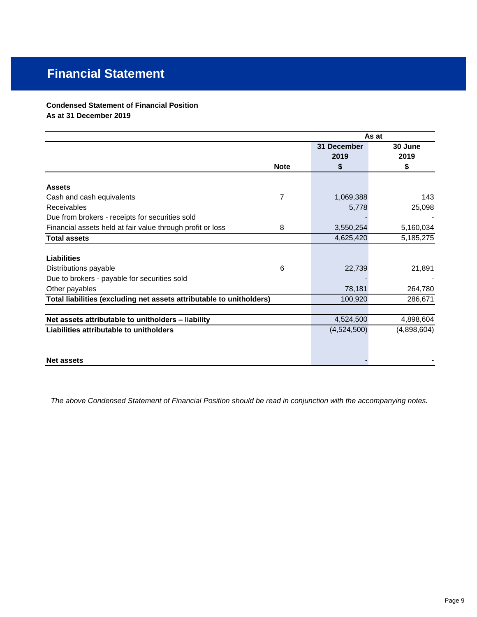# **Financial Statement**

## **Condensed Statement of Financial Position**

**As at 31 December 2019**

|                                                                      |             | As at       |             |
|----------------------------------------------------------------------|-------------|-------------|-------------|
|                                                                      |             | 31 December | 30 June     |
|                                                                      |             | 2019        | 2019        |
|                                                                      | <b>Note</b> | \$          | \$          |
| <b>Assets</b>                                                        |             |             |             |
|                                                                      | 7           |             | 143         |
| Cash and cash equivalents                                            |             | 1,069,388   |             |
| Receivables                                                          |             | 5,778       | 25,098      |
| Due from brokers - receipts for securities sold                      |             |             |             |
| Financial assets held at fair value through profit or loss           | 8           | 3,550,254   | 5,160,034   |
| <b>Total assets</b>                                                  |             | 4,625,420   | 5,185,275   |
|                                                                      |             |             |             |
| <b>Liabilities</b>                                                   |             |             |             |
| Distributions payable                                                | 6           | 22,739      | 21,891      |
| Due to brokers - payable for securities sold                         |             |             |             |
| Other payables                                                       |             | 78,181      | 264,780     |
| Total liabilities (excluding net assets attributable to unitholders) |             | 100,920     | 286,671     |
|                                                                      |             |             |             |
| Net assets attributable to unitholders - liability                   |             | 4,524,500   | 4,898,604   |
| Liabilities attributable to unitholders                              |             | (4,524,500) | (4,898,604) |
|                                                                      |             |             |             |
|                                                                      |             |             |             |
| <b>Net assets</b>                                                    |             |             |             |

*The above Condensed Statement of Financial Position should be read in conjunction with the accompanying notes.*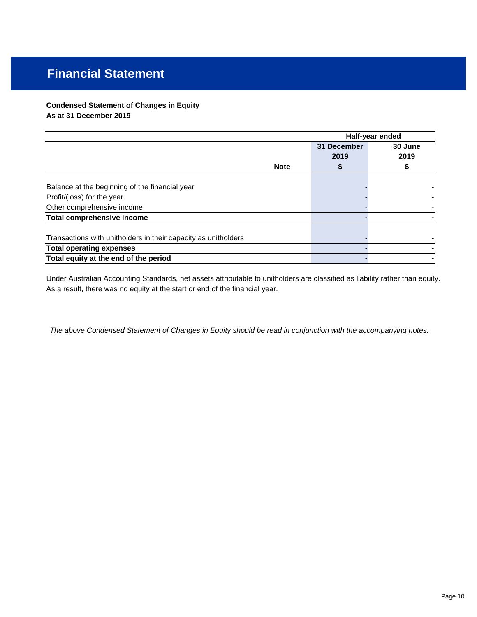# **Financial Statement**

### **Condensed Statement of Changes in Equity As at 31 December 2019**

|                                                                |             | Half-year ended |         |  |
|----------------------------------------------------------------|-------------|-----------------|---------|--|
|                                                                |             | 31 December     | 30 June |  |
|                                                                |             | 2019            | 2019    |  |
|                                                                | <b>Note</b> |                 |         |  |
| Balance at the beginning of the financial year                 |             |                 |         |  |
| Profit/(loss) for the year                                     |             |                 |         |  |
| Other comprehensive income                                     |             |                 |         |  |
| <b>Total comprehensive income</b>                              |             |                 |         |  |
| Transactions with unitholders in their capacity as unitholders |             |                 |         |  |
| <b>Total operating expenses</b>                                |             |                 |         |  |
| Total equity at the end of the period                          |             |                 |         |  |

As a result, there was no equity at the start or end of the financial year. Under Australian Accounting Standards, net assets attributable to unitholders are classified as liability rather than equity.

*The above Condensed Statement of Changes in Equity should be read in conjunction with the accompanying notes.*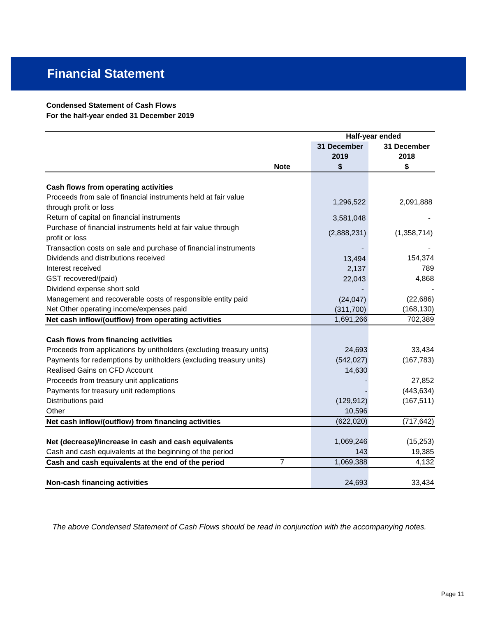### **Condensed Statement of Cash Flows**

**For the half-year ended 31 December 2019**

|                                                                      | Half-year ended |             |
|----------------------------------------------------------------------|-----------------|-------------|
|                                                                      | 31 December     | 31 December |
|                                                                      | 2019            | 2018        |
| <b>Note</b>                                                          | \$              | \$          |
| Cash flows from operating activities                                 |                 |             |
| Proceeds from sale of financial instruments held at fair value       |                 |             |
| through profit or loss                                               | 1,296,522       | 2,091,888   |
| Return of capital on financial instruments                           | 3,581,048       |             |
| Purchase of financial instruments held at fair value through         |                 |             |
| profit or loss                                                       | (2,888,231)     | (1,358,714) |
| Transaction costs on sale and purchase of financial instruments      |                 |             |
| Dividends and distributions received                                 | 13,494          | 154,374     |
| Interest received                                                    | 2,137           | 789         |
| GST recovered/(paid)                                                 | 22,043          | 4,868       |
| Dividend expense short sold                                          |                 |             |
| Management and recoverable costs of responsible entity paid          | (24, 047)       | (22, 686)   |
| Net Other operating income/expenses paid                             | (311, 700)      | (168, 130)  |
| Net cash inflow/(outflow) from operating activities                  | 1,691,266       | 702,389     |
|                                                                      |                 |             |
| Cash flows from financing activities                                 |                 |             |
| Proceeds from applications by unitholders (excluding treasury units) | 24,693          | 33,434      |
| Payments for redemptions by unitholders (excluding treasury units)   | (542, 027)      | (167, 783)  |
| <b>Realised Gains on CFD Account</b>                                 | 14,630          |             |
| Proceeds from treasury unit applications                             |                 | 27,852      |
| Payments for treasury unit redemptions                               |                 | (443, 634)  |
| Distributions paid                                                   | (129, 912)      | (167, 511)  |
| Other                                                                | 10,596          |             |
| Net cash inflow/(outflow) from financing activities                  | (622, 020)      | (717, 642)  |
|                                                                      |                 |             |
| Net (decrease)/increase in cash and cash equivalents                 | 1,069,246       | (15, 253)   |
| Cash and cash equivalents at the beginning of the period             | 143             | 19,385      |
| 7<br>Cash and cash equivalents at the end of the period              | 1,069,388       | 4,132       |
| Non-cash financing activities                                        | 24,693          | 33,434      |

*The above Condensed Statement of Cash Flows should be read in conjunction with the accompanying notes.*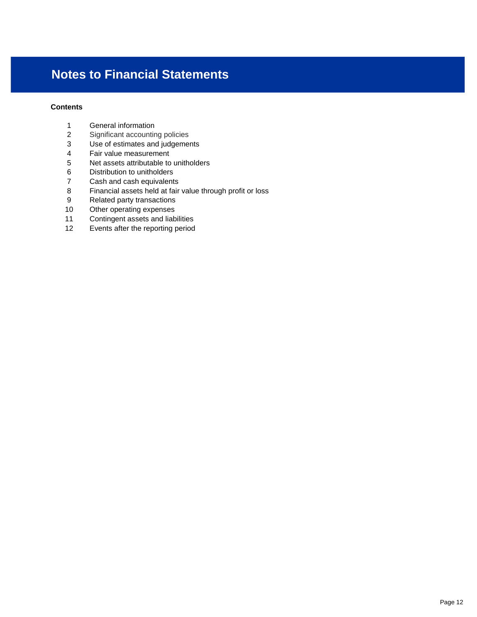### **Contents**

- General information
- Significant accounting policies
- Use of estimates and judgements
- Fair value measurement
- 5 Net assets attributable to unitholders<br>6 Distribution to unitholders
- Distribution to unitholders
- Cash and cash equivalents
- Financial assets held at fair value through profit or loss
- Related party transactions
- Other operating expenses
- Contingent assets and liabilities
- Events after the reporting period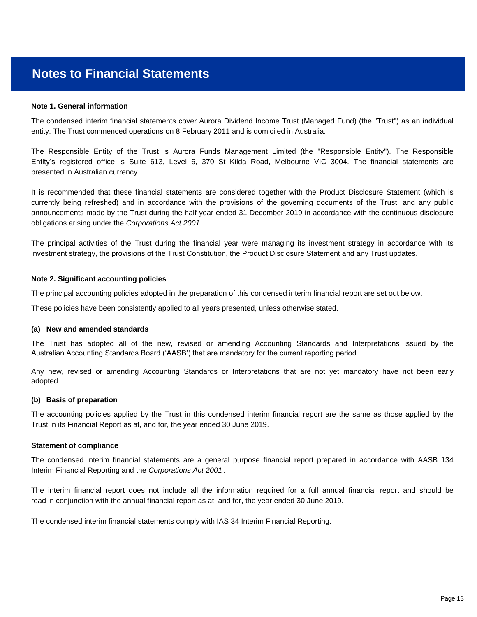#### **Note 1. General information**

entity. The Trust commenced operations on 8 February 2011 and is domiciled in Australia. The condensed interim financial statements cover Aurora Dividend Income Trust (Managed Fund) (the "Trust") as an individual

presented in Australian currency. The Responsible Entity of the Trust is Aurora Funds Management Limited (the "Responsible Entity"). The Responsible Entity's registered office is Suite 613, Level 6, 370 St Kilda Road, Melbourne VIC 3004. The financial statements are

obligations arising under the *Corporations Act 2001* . announcements made by the Trust during the half-year ended 31 December 2019 in accordance with the continuous disclosure It is recommended that these financial statements are considered together with the Product Disclosure Statement (which is currently being refreshed) and in accordance with the provisions of the governing documents of the Trust, and any public

investment strategy, the provisions of the Trust Constitution, the Product Disclosure Statement and any Trust updates. The principal activities of the Trust during the financial year were managing its investment strategy in accordance with its

#### **Note 2. Significant accounting policies**

The principal accounting policies adopted in the preparation of this condensed interim financial report are set out below.

These policies have been consistently applied to all years presented, unless otherwise stated. 

#### **(a) New and amended standards**

Australian Accounting Standards Board ('AASB') that are mandatory for the current reporting period. The Trust has adopted all of the new, revised or amending Accounting Standards and Interpretations issued by the

adopted. Any new, revised or amending Accounting Standards or Interpretations that are not yet mandatory have not been early

#### **(b) Basis of preparation**

Trust in its Financial Report as at, and for, the year ended 30 June 2019. The accounting policies applied by the Trust in this condensed interim financial report are the same as those applied by the

#### **Statement of compliance**

Interim Financial Reporting and the *Corporations Act 2001* . The condensed interim financial statements are a general purpose financial report prepared in accordance with AASB 134

read in conjunction with the annual financial report as at, and for, the year ended 30 June 2019. The interim financial report does not include all the information required for a full annual financial report and should be

The condensed interim financial statements comply with IAS 34 Interim Financial Reporting.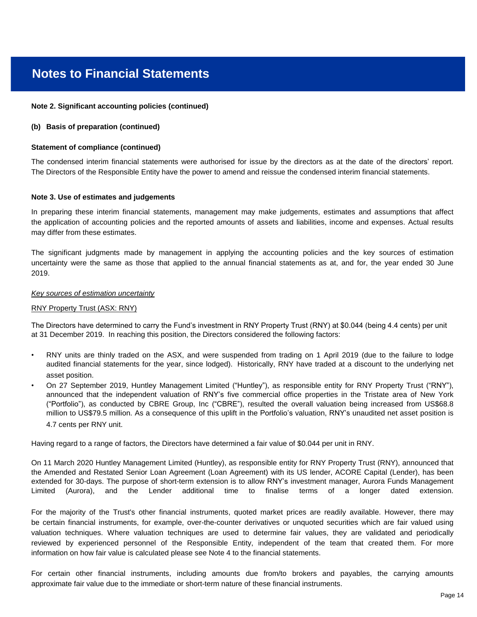#### **Note 2. Significant accounting policies (continued)**

#### **(b) Basis of preparation (continued)**

#### **Statement of compliance (continued)**

The Directors of the Responsible Entity have the power to amend and reissue the condensed interim financial statements. The condensed interim financial statements were authorised for issue by the directors as at the date of the directors' report.

#### **Note 3. Use of estimates and judgements**

may differ from these estimates. In preparing these interim financial statements, management may make judgements, estimates and assumptions that affect the application of accounting policies and the reported amounts of assets and liabilities, income and expenses. Actual results

2019. The significant judgments made by management in applying the accounting policies and the key sources of estimation uncertainty were the same as those that applied to the annual financial statements as at, and for, the year ended 30 June

#### *Key sources of estimation uncertainty*

#### RNY Property Trust (ASX: RNY)

The Directors have determined to carry the Fund's investment in RNY Property Trust (RNY) at \$0.044 (being 4.4 cents) per unit at 31 December 2019. In reaching this position, the Directors considered the following factors:

- asset position. RNY units are thinly traded on the ASX, and were suspended from trading on 1 April 2019 (due to the failure to lodge audited financial statements for the year, since lodged). Historically, RNY have traded at a discount to the underlying net
- On 27 September 2019, Huntley Management Limited ("Huntley"), as responsible entity for RNY Property Trust ("RNY"), announced that the independent valuation of RNY's five commercial office properties in the Tristate area of New York ("Portfolio"), as conducted by CBRE Group, Inc ("CBRE"), resulted the overall valuation being increased from US\$68.8 million to US\$79.5 million. As a consequence of this uplift in the Portfolio's valuation, RNY's unaudited net asset position is 4.7 cents per RNY unit.

Having regard to a range of factors, the Directors have determined a fair value of \$0.044 per unit in RNY.

On 11 March 2020 Huntley Management Limited (Huntley), as responsible entity for RNY Property Trust (RNY), announced that the Amended and Restated Senior Loan Agreement (Loan Agreement) with its US lender, ACORE Capital (Lender), has been extended for 30-days. The purpose of short-term extension is to allow RNY's investment manager, Aurora Funds Management Limited (Aurora), and the Lender additional time to finalise terms of a longer dated extension.

information on how fair value is calculated please see Note 4 to the financial statements. For the majority of the Trust's other financial instruments, quoted market prices are readily available. However, there may be certain financial instruments, for example, over-the-counter derivatives or unquoted securities which are fair valued using valuation techniques. Where valuation techniques are used to determine fair values, they are validated and periodically reviewed by experienced personnel of the Responsible Entity, independent of the team that created them. For more

approximate fair value due to the immediate or short-term nature of these financial instruments. For certain other financial instruments, including amounts due from/to brokers and payables, the carrying amounts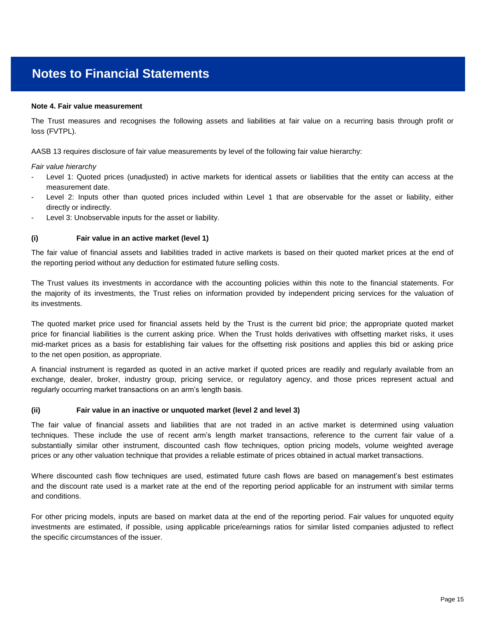#### **Note 4. Fair value measurement**

loss (FVTPL). The Trust measures and recognises the following assets and liabilities at fair value on a recurring basis through profit or

AASB 13 requires disclosure of fair value measurements by level of the following fair value hierarchy:

*Fair value hierarchy*

- measurement date. Level 1: Quoted prices (unadjusted) in active markets for identical assets or liabilities that the entity can access at the
- directly or indirectly. Level 2: Inputs other than quoted prices included within Level 1 that are observable for the asset or liability, either
- Level 3: Unobservable inputs for the asset or liability.

#### **(i) Fair value in an active market (level 1)**

the reporting period without any deduction for estimated future selling costs. The fair value of financial assets and liabilities traded in active markets is based on their quoted market prices at the end of

its investments. The Trust values its investments in accordance with the accounting policies within this note to the financial statements. For the majority of its investments, the Trust relies on information provided by independent pricing services for the valuation of

to the net open position, as appropriate. The quoted market price used for financial assets held by the Trust is the current bid price; the appropriate quoted market price for financial liabilities is the current asking price. When the Trust holds derivatives with offsetting market risks, it uses mid-market prices as a basis for establishing fair values for the offsetting risk positions and applies this bid or asking price

regularly occurring market transactions on an arm's length basis. A financial instrument is regarded as quoted in an active market if quoted prices are readily and regularly available from an exchange, dealer, broker, industry group, pricing service, or regulatory agency, and those prices represent actual and

#### **(ii) Fair value in an inactive or unquoted market (level 2 and level 3)**

prices or any other valuation technique that provides a reliable estimate of prices obtained in actual market transactions. The fair value of financial assets and liabilities that are not traded in an active market is determined using valuation techniques. These include the use of recent arm's length market transactions, reference to the current fair value of a substantially similar other instrument, discounted cash flow techniques, option pricing models, volume weighted average

and conditions. Where discounted cash flow techniques are used, estimated future cash flows are based on management's best estimates and the discount rate used is a market rate at the end of the reporting period applicable for an instrument with similar terms

the specific circumstances of the issuer. For other pricing models, inputs are based on market data at the end of the reporting period. Fair values for unquoted equity investments are estimated, if possible, using applicable price/earnings ratios for similar listed companies adjusted to reflect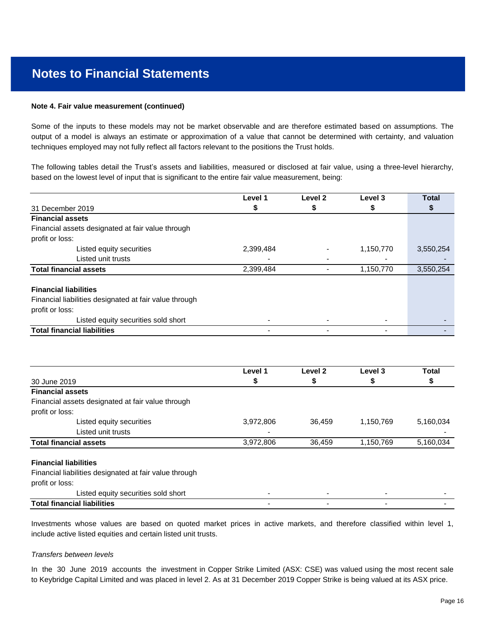#### **Note 4. Fair value measurement (continued)**

techniques employed may not fully reflect all factors relevant to the positions the Trust holds. Some of the inputs to these models may not be market observable and are therefore estimated based on assumptions. The output of a model is always an estimate or approximation of a value that cannot be determined with certainty, and valuation

based on the lowest level of input that is significant to the entire fair value measurement, being: The following tables detail the Trust's assets and liabilities, measured or disclosed at fair value, using a three-level hierarchy,

|                                                        | Level 1   | Level 2                  | Level 3   | <b>Total</b> |
|--------------------------------------------------------|-----------|--------------------------|-----------|--------------|
| 31 December 2019                                       | S         | \$                       | P         |              |
| <b>Financial assets</b>                                |           |                          |           |              |
| Financial assets designated at fair value through      |           |                          |           |              |
| profit or loss:                                        |           |                          |           |              |
| Listed equity securities                               | 2,399,484 |                          | 1,150,770 | 3,550,254    |
| Listed unit trusts                                     |           | $\overline{\phantom{0}}$ |           |              |
| <b>Total financial assets</b>                          | 2,399,484 |                          | 1,150,770 | 3,550,254    |
| <b>Financial liabilities</b>                           |           |                          |           |              |
| Financial liabilities designated at fair value through |           |                          |           |              |
| profit or loss:                                        |           |                          |           |              |
| Listed equity securities sold short                    |           |                          |           |              |
| <b>Total financial liabilities</b>                     |           |                          |           |              |

|                                                        | Level 1   | Level <sub>2</sub> | Level 3   | <b>Total</b> |
|--------------------------------------------------------|-----------|--------------------|-----------|--------------|
| 30 June 2019                                           | \$        | \$                 | \$        | P            |
| <b>Financial assets</b>                                |           |                    |           |              |
| Financial assets designated at fair value through      |           |                    |           |              |
| profit or loss:                                        |           |                    |           |              |
| Listed equity securities                               | 3,972,806 | 36.459             | 1,150,769 | 5,160,034    |
| Listed unit trusts                                     |           |                    |           |              |
| <b>Total financial assets</b>                          | 3,972,806 | 36,459             | 1,150,769 | 5,160,034    |
| <b>Financial liabilities</b>                           |           |                    |           |              |
| Financial liabilities designated at fair value through |           |                    |           |              |
| profit or loss:                                        |           |                    |           |              |
| Listed equity securities sold short                    |           |                    |           |              |
| <b>Total financial liabilities</b>                     |           |                    |           |              |

include active listed equities and certain listed unit trusts. Investments whose values are based on quoted market prices in active markets, and therefore classified within level 1,

#### *Transfers between levels*

to Keybridge Capital Limited and was placed in level 2. As at 31 December 2019 Copper Strike is being valued at its ASX price. In the 30 June 2019 accounts the investment in Copper Strike Limited (ASX: CSE) was valued using the most recent sale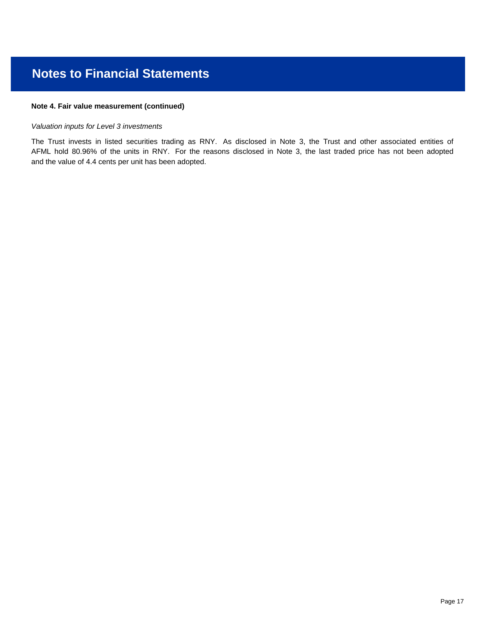### **Note 4. Fair value measurement (continued)**

### *Valuation inputs for Level 3 investments*

and the value of 4.4 cents per unit has been adopted. The Trust invests in listed securities trading as RNY. As disclosed in Note 3, the Trust and other associated entities of AFML hold 80.96% of the units in RNY. For the reasons disclosed in Note 3, the last traded price has not been adopted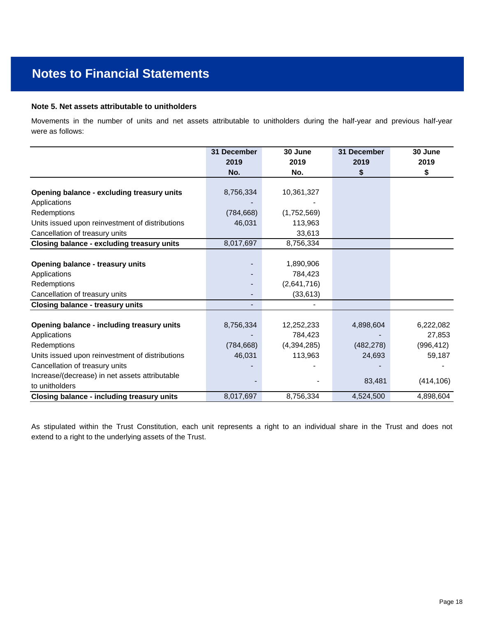### **Note 5. Net assets attributable to unitholders**

were as follows: Movements in the number of units and net assets attributable to unitholders during the half-year and previous half-year

|                                                   | 31 December | 30 June       | 31 December | 30 June    |
|---------------------------------------------------|-------------|---------------|-------------|------------|
|                                                   | 2019        | 2019          | 2019        | 2019       |
|                                                   | No.         | No.           | \$          | \$         |
|                                                   |             |               |             |            |
| Opening balance - excluding treasury units        | 8,756,334   | 10,361,327    |             |            |
| Applications                                      |             |               |             |            |
| Redemptions                                       | (784, 668)  | (1,752,569)   |             |            |
| Units issued upon reinvestment of distributions   | 46,031      | 113,963       |             |            |
| Cancellation of treasury units                    |             | 33,613        |             |            |
| <b>Closing balance - excluding treasury units</b> | 8,017,697   | 8,756,334     |             |            |
|                                                   |             |               |             |            |
| <b>Opening balance - treasury units</b>           |             | 1,890,906     |             |            |
| Applications                                      |             | 784,423       |             |            |
| Redemptions                                       |             | (2,641,716)   |             |            |
| Cancellation of treasury units                    |             | (33, 613)     |             |            |
| <b>Closing balance - treasury units</b>           |             |               |             |            |
|                                                   |             |               |             |            |
| Opening balance - including treasury units        | 8,756,334   | 12,252,233    | 4,898,604   | 6,222,082  |
| Applications                                      |             | 784,423       |             | 27,853     |
| Redemptions                                       | (784, 668)  | (4, 394, 285) | (482, 278)  | (996, 412) |
| Units issued upon reinvestment of distributions   | 46,031      | 113,963       | 24,693      | 59,187     |
| Cancellation of treasury units                    |             |               |             |            |
| Increase/(decrease) in net assets attributable    |             |               |             |            |
| to unitholders                                    |             |               | 83,481      | (414, 106) |
| <b>Closing balance - including treasury units</b> | 8,017,697   | 8,756,334     | 4,524,500   | 4,898,604  |

extend to a right to the underlying assets of the Trust. As stipulated within the Trust Constitution, each unit represents a right to an individual share in the Trust and does not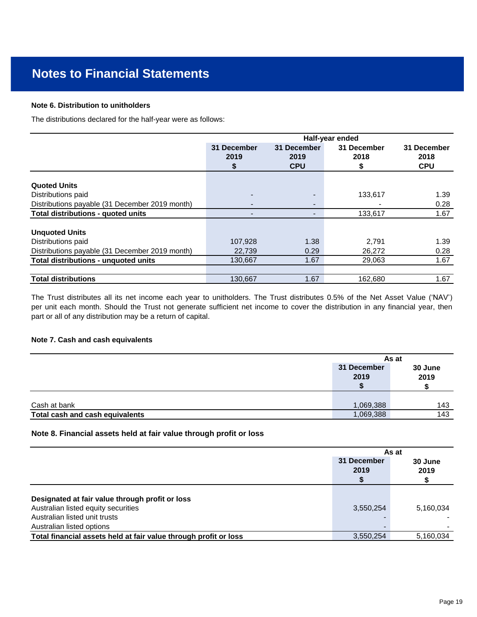#### **Note 6. Distribution to unitholders**

The distributions declared for the half-year were as follows:

|                                                | Half-year ended           |                                   |                           |                                   |
|------------------------------------------------|---------------------------|-----------------------------------|---------------------------|-----------------------------------|
|                                                | 31 December<br>2019<br>\$ | 31 December<br>2019<br><b>CPU</b> | 31 December<br>2018<br>\$ | 31 December<br>2018<br><b>CPU</b> |
| <b>Quoted Units</b>                            |                           |                                   |                           |                                   |
| Distributions paid                             |                           |                                   | 133,617                   | 1.39                              |
| Distributions payable (31 December 2019 month) |                           | $\blacksquare$                    |                           | 0.28                              |
| Total distributions - quoted units             |                           |                                   | 133,617                   | 1.67                              |
| <b>Unquoted Units</b>                          |                           |                                   |                           |                                   |
| Distributions paid                             | 107,928                   | 1.38                              | 2,791                     | 1.39                              |
| Distributions payable (31 December 2019 month) | 22,739                    | 0.29                              | 26,272                    | 0.28                              |
| Total distributions - unquoted units           | 130.667                   | 1.67                              | 29,063                    | 1.67                              |
|                                                |                           |                                   |                           |                                   |
| <b>Total distributions</b>                     | 130.667                   | 1.67                              | 162,680                   | 1.67                              |

part or all of any distribution may be a return of capital. The Trust distributes all its net income each year to unitholders. The Trust distributes 0.5% of the Net Asset Value ('NAV') per unit each month. Should the Trust not generate sufficient net income to cover the distribution in any financial year, then

#### **Note 7. Cash and cash equivalents**

|                                                 |                        | As at           |
|-------------------------------------------------|------------------------|-----------------|
|                                                 | 31 December<br>2019    | 30 June<br>2019 |
|                                                 |                        | 143             |
| Cash at bank<br>Total cash and cash equivalents | 1,069,388<br>1,069,388 | 143             |

### **Note 8. Financial assets held at fair value through profit or loss**

|                                                                  | As at               |                 |  |
|------------------------------------------------------------------|---------------------|-----------------|--|
|                                                                  | 31 December<br>2019 | 30 June<br>2019 |  |
| Designated at fair value through profit or loss                  |                     |                 |  |
| Australian listed equity securities                              | 3,550,254           | 5,160,034       |  |
| Australian listed unit trusts                                    |                     |                 |  |
| Australian listed options                                        |                     |                 |  |
| Total financial assets held at fair value through profit or loss | 3.550.254           | 5,160,034       |  |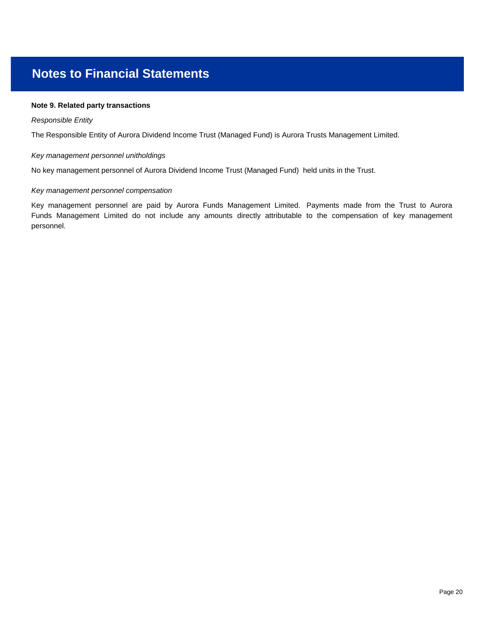### **Note 9. Related party transactions**

#### *Responsible Entity*

The Responsible Entity of Aurora Dividend Income Trust (Managed Fund) is Aurora Trusts Management Limited.

#### *Key management personnel unitholdings*

No key management personnel of Aurora Dividend Income Trust (Managed Fund) held units in the Trust.

#### *Key management personnel compensation*

personnel. Key management personnel are paid by Aurora Funds Management Limited. Payments made from the Trust to Aurora Funds Management Limited do not include any amounts directly attributable to the compensation of key management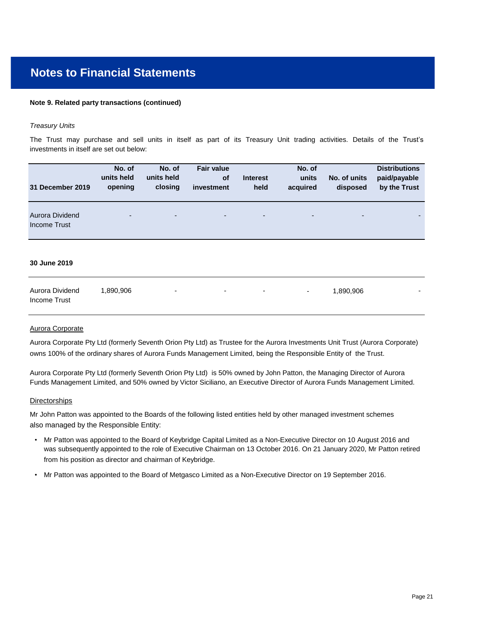#### **Note 9. Related party transactions (continued)**

#### *Treasury Units*

investments in itself are set out below: The Trust may purchase and sell units in itself as part of its Treasury Unit trading activities. Details of the Trust's

| 31 December 2019                | No. of<br>units held<br>opening | No. of<br>units held<br>closing | <b>Fair value</b><br><b>of</b><br>investment | <b>Interest</b><br>held  | No. of<br>units<br>acquired | No. of units<br>disposed | <b>Distributions</b><br>paid/payable<br>by the Trust |
|---------------------------------|---------------------------------|---------------------------------|----------------------------------------------|--------------------------|-----------------------------|--------------------------|------------------------------------------------------|
| Aurora Dividend<br>Income Trust | ٠                               | ۰.                              | ٠                                            | $\overline{\phantom{a}}$ | $\overline{\phantom{a}}$    | ٠                        | $\overline{\phantom{0}}$                             |
| 30 June 2019                    |                                 |                                 |                                              |                          |                             |                          |                                                      |

| Aurora Dividend | 1.890.906 | $\overline{\phantom{a}}$ | the control of the control of the control of the control of the control of the control of the control of the control of the control of the control of the control of the control of the control of the control of the control | 1.890.906 |  |
|-----------------|-----------|--------------------------|-------------------------------------------------------------------------------------------------------------------------------------------------------------------------------------------------------------------------------|-----------|--|
| Income Trust    |           |                          |                                                                                                                                                                                                                               |           |  |

#### Aurora Corporate

Aurora Corporate Pty Ltd (formerly Seventh Orion Pty Ltd) as Trustee for the Aurora Investments Unit Trust (Aurora Corporate) owns 100% of the ordinary shares of Aurora Funds Management Limited, being the Responsible Entity of the Trust.

Funds Management Limited, and 50% owned by Victor Siciliano, an Executive Director of Aurora Funds Management Limited. Aurora Corporate Pty Ltd (formerly Seventh Orion Pty Ltd) is 50% owned by John Patton, the Managing Director of Aurora

#### **Directorships**

also managed by the Responsible Entity: Mr John Patton was appointed to the Boards of the following listed entities held by other managed investment schemes

- Mr Patton was appointed to the Board of Keybridge Capital Limited as a Non-Executive Director on 10 August 2016 andwas subsequently appointed to the role of Executive Chairman on 13 October 2016. On 21 January 2020, Mr Patton retired from his position as director and chairman of Keybridge.
- Mr Patton was appointed to the Board of Metgasco Limited as a Non-Executive Director on 19 September 2016.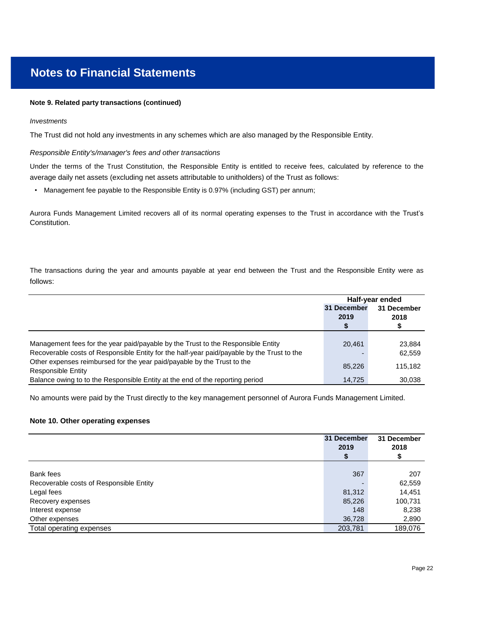#### **Note 9. Related party transactions (continued)**

#### *Investments*

The Trust did not hold any investments in any schemes which are also managed by the Responsible Entity.

#### *Responsible Entity's/manager's fees and other transactions*

average daily net assets (excluding net assets attributable to unitholders) of the Trust as follows: Under the terms of the Trust Constitution, the Responsible Entity is entitled to receive fees, calculated by reference to the

• Management fee payable to the Responsible Entity is 0.97% (including GST) per annum;

Constitution. Aurora Funds Management Limited recovers all of its normal operating expenses to the Trust in accordance with the Trust's

follows: The transactions during the year and amounts payable at year end between the Trust and the Responsible Entity were as

|                                                                                            | Half-year ended |             |  |
|--------------------------------------------------------------------------------------------|-----------------|-------------|--|
|                                                                                            | 31 December     | 31 December |  |
|                                                                                            | 2019            | 2018        |  |
|                                                                                            |                 |             |  |
|                                                                                            |                 |             |  |
| Management fees for the year paid/payable by the Trust to the Responsible Entity           | 20.461          | 23.884      |  |
| Recoverable costs of Responsible Entity for the half-year paid/payable by the Trust to the |                 | 62,559      |  |
| Other expenses reimbursed for the year paid/payable by the Trust to the                    | 85.226          | 115.182     |  |
| <b>Responsible Entity</b>                                                                  |                 |             |  |
| Balance owing to to the Responsible Entity at the end of the reporting period              | 14.725          | 30.038      |  |

No amounts were paid by the Trust directly to the key management personnel of Aurora Funds Management Limited.

#### **Note 10. Other operating expenses**

|                                         | 31 December | 31 December |
|-----------------------------------------|-------------|-------------|
|                                         | 2019        | 2018        |
|                                         |             | S           |
|                                         |             |             |
| Bank fees                               | 367         | 207         |
| Recoverable costs of Responsible Entity |             | 62,559      |
| Legal fees                              | 81,312      | 14,451      |
| Recovery expenses                       | 85,226      | 100,731     |
| Interest expense                        | 148         | 8,238       |
| Other expenses                          | 36,728      | 2,890       |
| Total operating expenses                | 203,781     | 189,076     |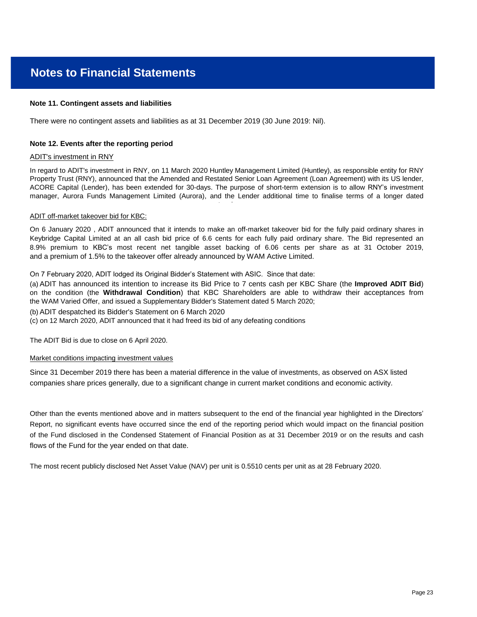#### **Note 11. Contingent assets and liabilities**

There were no contingent assets and liabilities as at 31 December 2019 (30 June 2019: Nil).

#### **Note 12. Events after the reporting period**

#### ADIT's investment in RNY

In regard to ADIT's investment in RNY, on 11 March 2020 Huntley Management Limited (Huntley), as responsible entity for RNY Property Trust (RNY), announced that the Amended and Restated Senior Loan Agreement (Loan Agreement) with its US lender, ACORE Capital (Lender), has been extended for 30-days. The purpose of short-term extension is to allow RNY's investment manager, Aurora Funds Management Limited (Aurora), and the Lender additional time to finalise terms of a longer dated

extension.

#### ADIT off-market takeover bid for KBC:

and a premium of 1.5% to the takeover offer already announced by WAM Active Limited. On 6 January 2020 , ADIT announced that it intends to make an off-market takeover bid for the fully paid ordinary shares in Keybridge Capital Limited at an all cash bid price of 6.6 cents for each fully paid ordinary share. The Bid represented an 8.9% premium to KBC's most recent net tangible asset backing of 6.06 cents per share as at 31 October 2019,

On 7 February 2020, ADIT lodged its Original Bidder's Statement with ASIC. Since that date:

(a) ADIT has announced its intention to increase its Bid Price to 7 cents cash per KBC Share (the **Improved ADIT Bid**) on the condition (the **Withdrawal Condition**) that KBC Shareholders are able to withdraw their acceptances from the WAM Varied Offer, and issued a Supplementary Bidder's Statement dated 5 March 2020;

(b) ADIT despatched its Bidder's Statement on 6 March 2020

(c) on 12 March 2020, ADIT announced that it had freed its bid of any defeating conditions

The ADIT Bid is due to close on 6 April 2020.

#### Market conditions impacting investment values

Since 31 December 2019 there has been a material difference in the value of investments, as observed on ASX listed companies share prices generally, due to a significant change in current market conditions and economic activity.

flows of the Fund for the year ended on that date. of the Fund disclosed in the Condensed Statement of Financial Position as at 31 December 2019 or on the results and cash Report, no significant events have occurred since the end of the reporting period which would impact on the financial position Other than the events mentioned above and in matters subsequent to the end of the financial year highlighted in the Directors'

The most recent publicly disclosed Net Asset Value (NAV) per unit is 0.5510 cents per unit as at 28 February 2020.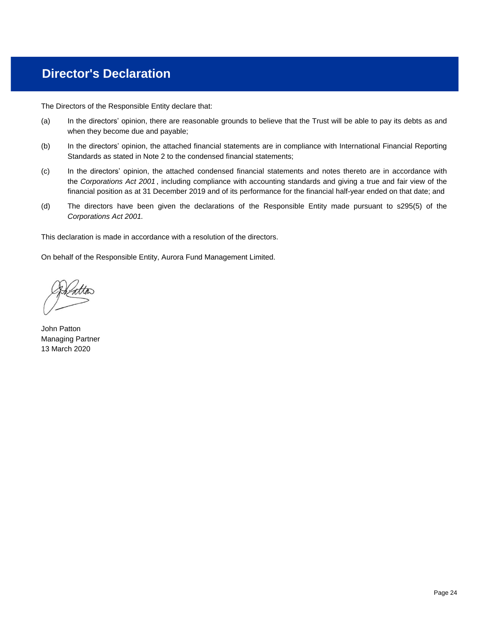# **Director's Declaration**

The Directors of the Responsible Entity declare that:

- (a) when they become due and payable; In the directors' opinion, there are reasonable grounds to believe that the Trust will be able to pay its debts as and
- (b) Standards as stated in Note 2 to the condensed financial statements; In the directors' opinion, the attached financial statements are in compliance with International Financial Reporting
- (c) financial position as at 31 December 2019 and of its performance for the financial half-year ended on that date; and In the directors' opinion, the attached condensed financial statements and notes thereto are in accordance with the *Corporations Act 2001* , including compliance with accounting standards and giving a true and fair view of the
- (d) *Corporations Act 2001.* The directors have been given the declarations of the Responsible Entity made pursuant to s295(5) of the

This declaration is made in accordance with a resolution of the directors.

On behalf of the Responsible Entity, Aurora Fund Management Limited.

John Patton Managing Partner 13 March 2020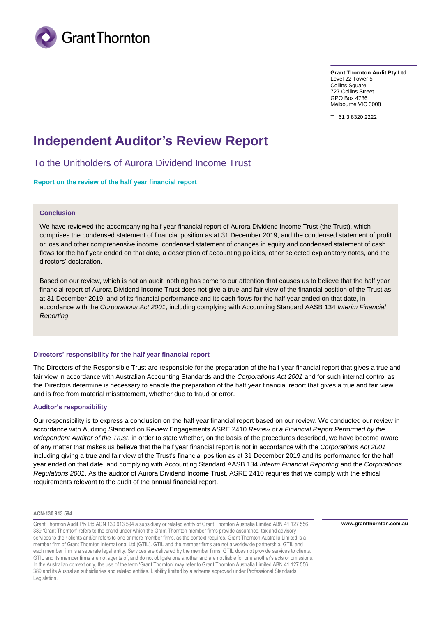

**Grant Thornton Audit Pty Ltd** Level 22 Tower 5 Collins Square 727 Collins Street GPO Box 4736 Melbourne VIC 3008

T +61 3 8320 2222

## **Independent Auditor's Review Report**

To the Unitholders of Aurora Dividend Income Trust

**Report on the review of the half year financial report**

### **Conclusion**

We have reviewed the accompanying half year financial report of Aurora Dividend Income Trust (the Trust), which comprises the condensed statement of financial position as at 31 December 2019, and the condensed statement of profit or loss and other comprehensive income, condensed statement of changes in equity and condensed statement of cash flows for the half year ended on that date, a description of accounting policies, other selected explanatory notes, and the directors' declaration.

Based on our review, which is not an audit, nothing has come to our attention that causes us to believe that the half year financial report of Aurora Dividend Income Trust does not give a true and fair view of the financial position of the Trust as at 31 December 2019, and of its financial performance and its cash flows for the half year ended on that date, in accordance with the *Corporations Act 2001*, including complying with Accounting Standard AASB 134 *Interim Financial Reporting*.

#### **Directors' responsibility for the half year financial report**

The Directors of the Responsible Trust are responsible for the preparation of the half year financial report that gives a true and fair view in accordance with Australian Accounting Standards and the *Corporations Act 2001* and for such internal control as the Directors determine is necessary to enable the preparation of the half year financial report that gives a true and fair view and is free from material misstatement, whether due to fraud or error.

#### **Auditor's responsibility**

Our responsibility is to express a conclusion on the half year financial report based on our review. We conducted our review in accordance with Auditing Standard on Review Engagements ASRE 2410 *Review of a Financial Report Performed by the Independent Auditor of the Trust*, in order to state whether, on the basis of the procedures described, we have become aware of any matter that makes us believe that the half year financial report is not in accordance with the *Corporations Act 2001* including giving a true and fair view of the Trust's financial position as at 31 December 2019 and its performance for the half year ended on that date, and complying with Accounting Standard AASB 134 *Interim Financial Reporting* and the *Corporations Regulations 2001*. As the auditor of Aurora Dividend Income Trust, ASRE 2410 requires that we comply with the ethical requirements relevant to the audit of the annual financial report.

#### **ACN-130 913 594**

Grant Thornton Audit Pty Ltd ACN 130 913 594 a subsidiary or related entity of Grant Thornton Australia Limited ABN 41 127 556 389 'Grant Thornton' refers to the brand under which the Grant Thornton member firms provide assurance, tax and advisory services to their clients and/or refers to one or more member firms, as the context requires. Grant Thornton Australia Limited is a member firm of Grant Thornton International Ltd (GTIL). GTIL and the member firms are not a worldwide partnership. GTIL and each member firm is a separate legal entity. Services are delivered by the member firms. GTIL does not provide services to clients. GTIL and its member firms are not agents of, and do not obligate one another and are not liable for one another's acts or omissions. In the Australian context only, the use of the term 'Grant Thornton' may refer to Grant Thornton Australia Limited ABN 41 127 556 389 and its Australian subsidiaries and related entities. Liability limited by a scheme approved under Professional Standards Legislation.

**www.grantthornton.com.au**